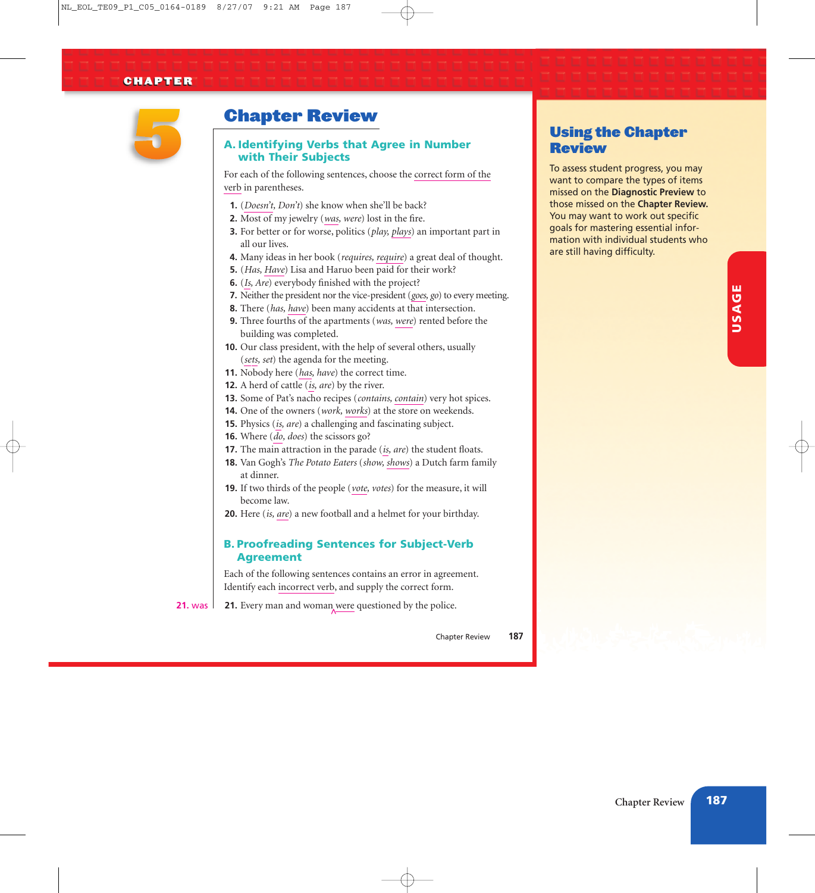#### **CHAPTER**



## Chapter Review

#### A. Identifying Verbs that Agree in Number with Their Subjects

For each of the following sentences, choose the correct form of the verb in parentheses.

- **1.** (*Doesn't, Don't*) she know when she'll be back?
- **2.** Most of my jewelry (*was, were*) lost in the fire.
- **3.** For better or for worse, politics (*play, plays*) an important part in all our lives.
- **4.** Many ideas in her book (*requires, require*) a great deal of thought.
- **5.** (*Has, Have*) Lisa and Haruo been paid for their work?
- **6.** (*Is, Are*) everybody finished with the project?
- **7.** Neither the president nor the vice-president (*goes, go*) to every meeting.
- **8.** There (*has, have*) been many accidents at that intersection.
- **9.** Three fourths of the apartments (*was, were*) rented before the building was completed.
- **10.** Our class president, with the help of several others, usually (*sets, set*) the agenda for the meeting.
- **11.** Nobody here (*has, have*) the correct time.
- **12.** A herd of cattle (*is, are*) by the river.
- **13.** Some of Pat's nacho recipes (*contains, contain*) very hot spices.
- **14.** One of the owners (*work, works*) at the store on weekends.
- **15.** Physics (*is, are*) a challenging and fascinating subject.
- **16.** Where (*do, does*) the scissors go?
- **17.** The main attraction in the parade (*is, are*) the student floats.
- **18.** Van Gogh's *The Potato Eaters* (*show, shows*) a Dutch farm family at dinner.
- **19.** If two thirds of the people (*vote, votes*) for the measure, it will become law.
- **20.** Here (*is, are*) a new football and a helmet for your birthday.

### B. Proofreading Sentences for Subject-Verb Agreement

Each of the following sentences contains an error in agreement. Identify each incorrect verb, and supply the correct form.

**21.** Every man and woman were questioned by the police. **21.** was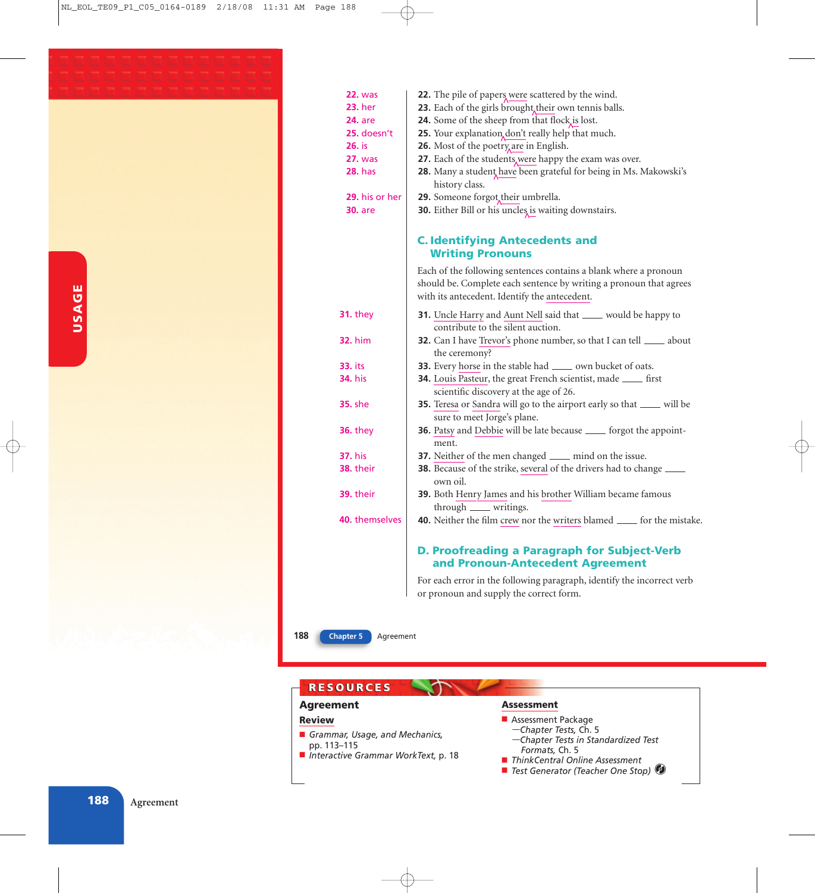| <b>22. was</b>   | 22. The pile of papers were scattered by the wind.                                      |
|------------------|-----------------------------------------------------------------------------------------|
| <b>23.</b> her   | 23. Each of the girls brought, their own tennis balls.                                  |
| <b>24.</b> are   | 24. Some of the sheep from that flock is lost.                                          |
| 25. doesn't      | 25. Your explanation don't really help that much.                                       |
| 26. is           | 26. Most of the poetry are in English.                                                  |
| <b>27.</b> was   | 27. Each of the students, were happy the exam was over.                                 |
| <b>28.</b> has   | 28. Many a student have been grateful for being in Ms. Makowski's                       |
|                  | history class.                                                                          |
| 29. his or her   | 29. Someone forgot, their umbrella.                                                     |
| <b>30.</b> are   | 30. Either Bill or his uncles is waiting downstairs.                                    |
|                  |                                                                                         |
|                  | <b>C. Identifying Antecedents and</b><br><b>Writing Pronouns</b>                        |
|                  | Each of the following sentences contains a blank where a pronoun                        |
|                  | should be. Complete each sentence by writing a pronoun that agrees                      |
|                  | with its antecedent. Identify the antecedent.                                           |
|                  |                                                                                         |
| <b>31. they</b>  | 31. Uncle Harry and Aunt Nell said that ____ would be happy to                          |
|                  | contribute to the silent auction.                                                       |
| <b>32.</b> him   | <b>32.</b> Can I have Trevor's phone number, so that I can tell _____ about             |
|                  | the ceremony?                                                                           |
| 33. its          | 33. Every horse in the stable had ______ own bucket of oats.                            |
| <b>34.</b> his   | 34. Louis Pasteur, the great French scientist, made _____ first                         |
|                  | scientific discovery at the age of 26.                                                  |
| <b>35. she</b>   | 35. Teresa or Sandra will go to the airport early so that _____ will be                 |
|                  | sure to meet Jorge's plane.                                                             |
| <b>36.</b> they  | 36. Patsy and Debbie will be late because ____ forgot the appoint-                      |
|                  | ment.                                                                                   |
| <b>37.</b> his   | <b>37.</b> Neither of the men changed <u>equal</u> mind on the issue.                   |
| <b>38. their</b> | 38. Because of the strike, several of the drivers had to change _____                   |
|                  | own oil.                                                                                |
| 39. their        | 39. Both Henry James and his brother William became famous                              |
|                  | through _____ writings.                                                                 |
| 40. themselves   | <b>40.</b> Neither the film crew nor the writers blamed <u>each</u> for the mistake.    |
|                  | <b>D. Proofreading a Paragraph for Subject-Verb</b><br>and Pronoun-Antecedent Agreement |
|                  | For each error in the following paragraph, identify the incorrect verb                  |

*or pronoun and supply the correct form.*